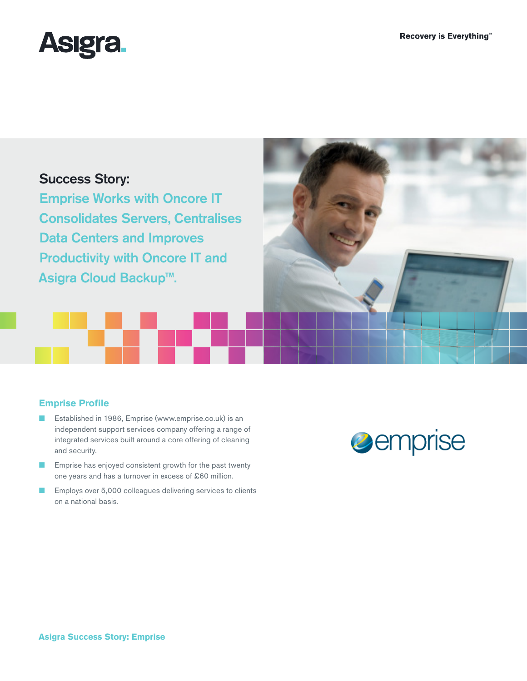

# Success Story:

Emprise Works with Oncore IT Consolidates Servers, Centralises Data Centers and Improves Productivity with Oncore IT and Asigra Cloud Backup™.



# **Emprise Profile**

- Established in 1986, Emprise (www.emprise.co.uk) is an independent support services company offering a range of integrated services built around a core offering of cleaning and security.
- Emprise has enjoyed consistent growth for the past twenty one years and has a turnover in excess of £60 million.
- Employs over 5,000 colleagues delivering services to clients on a national basis.

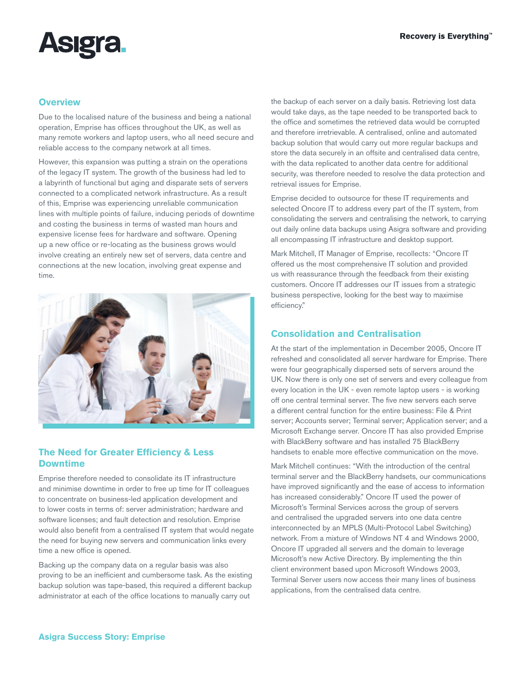

#### **Overview**

Due to the localised nature of the business and being a national operation, Emprise has offices throughout the UK, as well as many remote workers and laptop users, who all need secure and reliable access to the company network at all times.

However, this expansion was putting a strain on the operations of the legacy IT system. The growth of the business had led to a labyrinth of functional but aging and disparate sets of servers connected to a complicated network infrastructure. As a result of this, Emprise was experiencing unreliable communication lines with multiple points of failure, inducing periods of downtime and costing the business in terms of wasted man hours and expensive license fees for hardware and software. Opening up a new office or re-locating as the business grows would involve creating an entirely new set of servers, data centre and connections at the new location, involving great expense and time.



## **The Need for Greater Efficiency & Less Downtime**

Emprise therefore needed to consolidate its IT infrastructure and minimise downtime in order to free up time for IT colleagues to concentrate on business-led application development and to lower costs in terms of: server administration; hardware and software licenses; and fault detection and resolution. Emprise would also benefit from a centralised IT system that would negate the need for buying new servers and communication links every time a new office is opened.

Backing up the company data on a regular basis was also proving to be an inefficient and cumbersome task. As the existing backup solution was tape-based, this required a different backup administrator at each of the office locations to manually carry out

the backup of each server on a daily basis. Retrieving lost data would take days, as the tape needed to be transported back to the office and sometimes the retrieved data would be corrupted and therefore irretrievable. A centralised, online and automated backup solution that would carry out more regular backups and store the data securely in an offsite and centralised data centre, with the data replicated to another data centre for additional security, was therefore needed to resolve the data protection and retrieval issues for Emprise.

Emprise decided to outsource for these IT requirements and selected Oncore IT to address every part of the IT system, from consolidating the servers and centralising the network, to carrying out daily online data backups using Asigra software and providing all encompassing IT infrastructure and desktop support.

Mark Mitchell, IT Manager of Emprise, recollects: "Oncore IT offered us the most comprehensive IT solution and provided us with reassurance through the feedback from their existing customers. Oncore IT addresses our IT issues from a strategic business perspective, looking for the best way to maximise efficiency."

# **Consolidation and Centralisation**

At the start of the implementation in December 2005, Oncore IT refreshed and consolidated all server hardware for Emprise. There were four geographically dispersed sets of servers around the UK. Now there is only one set of servers and every colleague from every location in the UK - even remote laptop users - is working off one central terminal server. The five new servers each serve a different central function for the entire business: File & Print server; Accounts server; Terminal server; Application server; and a Microsoft Exchange server. Oncore IT has also provided Emprise with BlackBerry software and has installed 75 BlackBerry handsets to enable more effective communication on the move.

Mark Mitchell continues: "With the introduction of the central terminal server and the BlackBerry handsets, our communications have improved significantly and the ease of access to information has increased considerably." Oncore IT used the power of Microsoft's Terminal Services across the group of servers and centralised the upgraded servers into one data centre interconnected by an MPLS (Multi-Protocol Label Switching) network. From a mixture of Windows NT 4 and Windows 2000, Oncore IT upgraded all servers and the domain to leverage Microsoft's new Active Directory. By implementing the thin client environment based upon Microsoft Windows 2003, Terminal Server users now access their many lines of business applications, from the centralised data centre.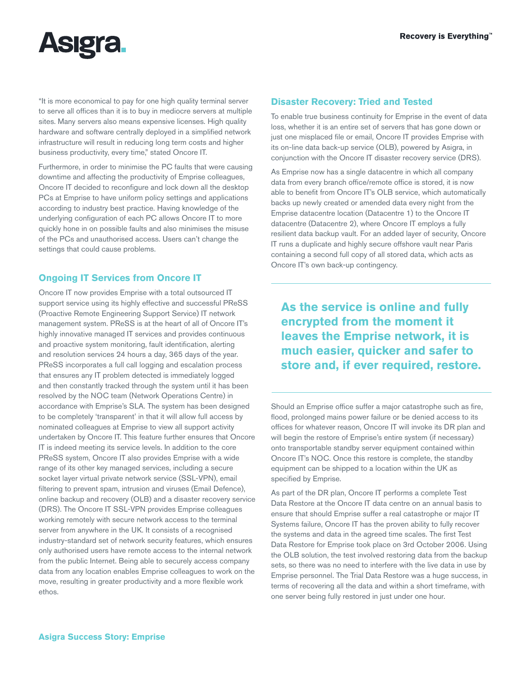

"It is more economical to pay for one high quality terminal server to serve all offices than it is to buy in mediocre servers at multiple sites. Many servers also means expensive licenses. High quality hardware and software centrally deployed in a simplified network infrastructure will result in reducing long term costs and higher business productivity, every time," stated Oncore IT.

Furthermore, in order to minimise the PC faults that were causing downtime and affecting the productivity of Emprise colleagues, Oncore IT decided to reconfigure and lock down all the desktop PCs at Emprise to have uniform policy settings and applications according to industry best practice. Having knowledge of the underlying configuration of each PC allows Oncore IT to more quickly hone in on possible faults and also minimises the misuse of the PCs and unauthorised access. Users can't change the settings that could cause problems.

## **Ongoing IT Services from Oncore IT**

Oncore IT now provides Emprise with a total outsourced IT support service using its highly effective and successful PReSS (Proactive Remote Engineering Support Service) IT network management system. PReSS is at the heart of all of Oncore IT's highly innovative managed IT services and provides continuous and proactive system monitoring, fault identification, alerting and resolution services 24 hours a day, 365 days of the year. PReSS incorporates a full call logging and escalation process that ensures any IT problem detected is immediately logged and then constantly tracked through the system until it has been resolved by the NOC team (Network Operations Centre) in accordance with Emprise's SLA. The system has been designed to be completely 'transparent' in that it will allow full access by nominated colleagues at Emprise to view all support activity undertaken by Oncore IT. This feature further ensures that Oncore IT is indeed meeting its service levels. In addition to the core PReSS system, Oncore IT also provides Emprise with a wide range of its other key managed services, including a secure socket layer virtual private network service (SSL-VPN), email filtering to prevent spam, intrusion and viruses (Email Defence), online backup and recovery (OLB) and a disaster recovery service (DRS). The Oncore IT SSL-VPN provides Emprise colleagues working remotely with secure network access to the terminal server from anywhere in the UK. It consists of a recognised industry-standard set of network security features, which ensures only authorised users have remote access to the internal network from the public Internet. Being able to securely access company data from any location enables Emprise colleagues to work on the move, resulting in greater productivity and a more flexible work ethos.

# **Disaster Recovery: Tried and Tested**

To enable true business continuity for Emprise in the event of data loss, whether it is an entire set of servers that has gone down or just one misplaced file or email, Oncore IT provides Emprise with its on-line data back-up service (OLB), powered by Asigra, in conjunction with the Oncore IT disaster recovery service (DRS).

As Emprise now has a single datacentre in which all company data from every branch office/remote office is stored, it is now able to benefit from Oncore IT's OLB service, which automatically backs up newly created or amended data every night from the Emprise datacentre location (Datacentre 1) to the Oncore IT datacentre (Datacentre 2), where Oncore IT employs a fully resilient data backup vault. For an added layer of security, Oncore IT runs a duplicate and highly secure offshore vault near Paris containing a second full copy of all stored data, which acts as Oncore IT's own back-up contingency.

**As the service is online and fully encrypted from the moment it leaves the Emprise network, it is much easier, quicker and safer to store and, if ever required, restore.** 

Should an Emprise office suffer a major catastrophe such as fire, flood, prolonged mains power failure or be denied access to its offices for whatever reason, Oncore IT will invoke its DR plan and will begin the restore of Emprise's entire system (if necessary) onto transportable standby server equipment contained within Oncore IT's NOC. Once this restore is complete, the standby equipment can be shipped to a location within the UK as specified by Emprise.

As part of the DR plan, Oncore IT performs a complete Test Data Restore at the Oncore IT data centre on an annual basis to ensure that should Emprise suffer a real catastrophe or major IT Systems failure, Oncore IT has the proven ability to fully recover the systems and data in the agreed time scales. The first Test Data Restore for Emprise took place on 3rd October 2006. Using the OLB solution, the test involved restoring data from the backup sets, so there was no need to interfere with the live data in use by Emprise personnel. The Trial Data Restore was a huge success, in terms of recovering all the data and within a short timeframe, with one server being fully restored in just under one hour.